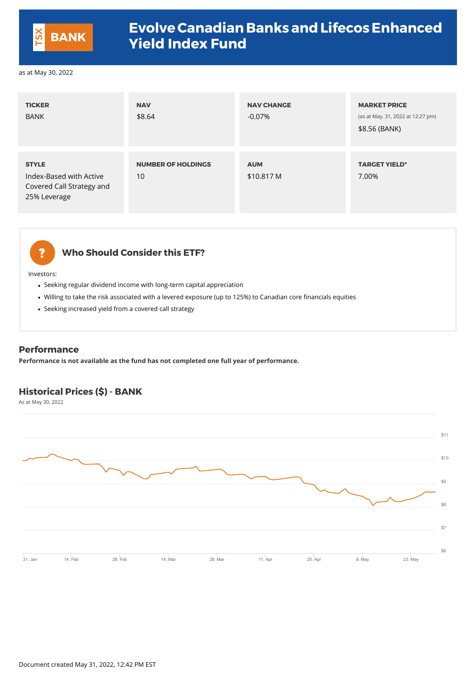### **Who Should Consider this ETF?**

Investors:

- Seeking regular dividend income with long-term capital appreciation
- Willing to take the risk associated with a levered exposure (up to 125%) to Canadian core financials equities
- Seeking increased yield from a covered call strategy

| <b>TICKER</b><br><b>BANK</b>                                                         | <b>NAV</b><br>\$8.64            | <b>NAV CHANGE</b><br>$-0.07\%$ | <b>MARKET PRICE</b><br>(as at May. 31, 2022 at 12:27 pm)<br>\$8.56 (BANK) |
|--------------------------------------------------------------------------------------|---------------------------------|--------------------------------|---------------------------------------------------------------------------|
| <b>STYLE</b><br>Index-Based with Active<br>Covered Call Strategy and<br>25% Leverage | <b>NUMBER OF HOLDINGS</b><br>10 | <b>AUM</b><br>\$10.817 M       | <b>TARGET YIELD*</b><br>7.00%                                             |



#### **Performance**

**Performance is not available as the fund has not completed one full year of performance.**

### **Historical Prices (\$) - BANK**

As at May 30, 2022



\$10

\$11

Document created May 31, 2022, 12:42 PM EST



## **Evolve Canadian Banks and Lifecos Enhanced Yield Index Fund BANK**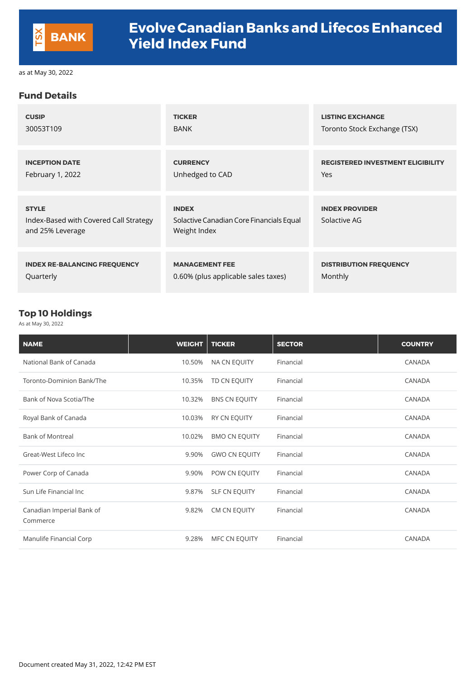#### **Fund Details**

| <b>CUSIP</b>                                                               | <b>TICKER</b>                                                            | <b>LISTING EXCHANGE</b>                  |
|----------------------------------------------------------------------------|--------------------------------------------------------------------------|------------------------------------------|
| 30053T109                                                                  | <b>BANK</b>                                                              | Toronto Stock Exchange (TSX)             |
| <b>INCEPTION DATE</b>                                                      | <b>CURRENCY</b>                                                          | <b>REGISTERED INVESTMENT ELIGIBILITY</b> |
| February 1, 2022                                                           | Unhedged to CAD                                                          | <b>Yes</b>                               |
| <b>STYLE</b><br>Index-Based with Covered Call Strategy<br>and 25% Leverage | <b>INDEX</b><br>Solactive Canadian Core Financials Equal<br>Weight Index | <b>INDEX PROVIDER</b><br>Solactive AG    |
| <b>INDEX RE-BALANCING FREQUENCY</b>                                        | <b>MANAGEMENT FEE</b>                                                    | <b>DISTRIBUTION FREQUENCY</b>            |
| Quarterly                                                                  | 0.60% (plus applicable sales taxes)                                      | Monthly                                  |

#### **Top 10 Holdings**

As at May 30, 2022

| <b>NAME</b>                           | <b>WEIGHT</b> | <b>TICKER</b>        | <b>SECTOR</b> | <b>COUNTRY</b> |
|---------------------------------------|---------------|----------------------|---------------|----------------|
| National Bank of Canada               | 10.50%        | <b>NA CN EQUITY</b>  | Financial     | <b>CANADA</b>  |
| Toronto-Dominion Bank/The             | 10.35%        | TD CN EQUITY         | Financial     | <b>CANADA</b>  |
| Bank of Nova Scotia/The               | 10.32%        | <b>BNS CN EQUITY</b> | Financial     | <b>CANADA</b>  |
| Royal Bank of Canada                  | 10.03%        | <b>RY CN EQUITY</b>  | Financial     | <b>CANADA</b>  |
| <b>Bank of Montreal</b>               | 10.02%        | <b>BMO CN EQUITY</b> | Financial     | <b>CANADA</b>  |
| Great-West Lifeco Inc                 | 9.90%         | <b>GWO CN EQUITY</b> | Financial     | <b>CANADA</b>  |
| Power Corp of Canada                  | 9.90%         | POW CN EQUITY        | Financial     | <b>CANADA</b>  |
| Sun Life Financial Inc                | 9.87%         | <b>SLF CN EQUITY</b> | Financial     | <b>CANADA</b>  |
| Canadian Imperial Bank of<br>Commerce | 9.82%         | <b>CM CN EQUITY</b>  | Financial     | CANADA         |
| Manulife Financial Corp               | 9.28%         | MFC CN EQUITY        | Financial     | <b>CANADA</b>  |

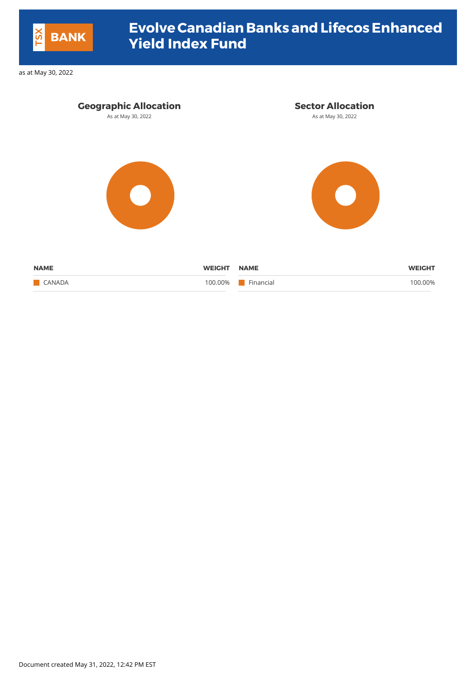| <b>Geographic Allocation</b> |               | <b>Sector Allocation</b> |               |
|------------------------------|---------------|--------------------------|---------------|
| As at May 30, 2022           |               | As at May 30, 2022       |               |
|                              |               |                          |               |
| <b>NAME</b>                  | <b>WEIGHT</b> | <b>NAME</b>              | <b>WEIGHT</b> |
| <b>CANADA</b>                | 100.00%       | Financial                | 100.00%       |

Document created May 31, 2022, 12:42 PM EST



# **EvolveCanadian Banks andLifecosEnhanced Yield Index Fund BANK**